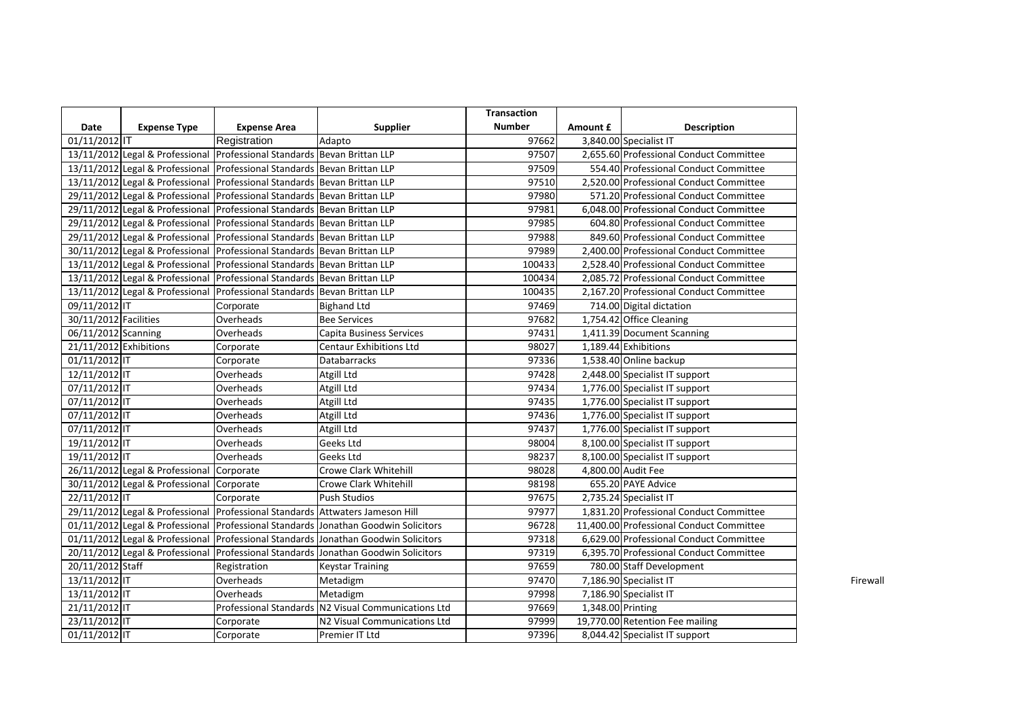|                        |                                           |                                                                               |                                                                                    | <b>Transaction</b> |                   |                                          |  |
|------------------------|-------------------------------------------|-------------------------------------------------------------------------------|------------------------------------------------------------------------------------|--------------------|-------------------|------------------------------------------|--|
| Date                   | <b>Expense Type</b>                       | <b>Expense Area</b>                                                           | <b>Supplier</b>                                                                    | <b>Number</b>      | Amount £          | <b>Description</b>                       |  |
| 01/11/2012 IT          |                                           | Registration                                                                  | Adapto                                                                             | 97662              |                   | 3,840.00 Specialist IT                   |  |
|                        |                                           | 13/11/2012 Legal & Professional Professional Standards Bevan Brittan LLP      |                                                                                    | 97507              |                   | 2,655.60 Professional Conduct Committee  |  |
|                        |                                           | 13/11/2012 Legal & Professional Professional Standards Bevan Brittan LLP      |                                                                                    | 97509              |                   | 554.40 Professional Conduct Committee    |  |
|                        |                                           | 13/11/2012 Legal & Professional Professional Standards Bevan Brittan LLP      |                                                                                    | 97510              |                   | 2,520.00 Professional Conduct Committee  |  |
|                        |                                           | 29/11/2012 Legal & Professional Professional Standards Bevan Brittan LLP      |                                                                                    | 97980              |                   | 571.20 Professional Conduct Committee    |  |
|                        |                                           | 29/11/2012 Legal & Professional Professional Standards Bevan Brittan LLP      |                                                                                    | 97981              |                   | 6,048.00 Professional Conduct Committee  |  |
|                        |                                           | 29/11/2012 Legal & Professional Professional Standards Bevan Brittan LLP      |                                                                                    | 97985              |                   | 604.80 Professional Conduct Committee    |  |
|                        |                                           | 29/11/2012 Legal & Professional Professional Standards Bevan Brittan LLP      |                                                                                    | 97988              |                   | 849.60 Professional Conduct Committee    |  |
|                        |                                           | 30/11/2012 Legal & Professional Professional Standards Bevan Brittan LLP      |                                                                                    | 97989              |                   | 2,400.00 Professional Conduct Committee  |  |
|                        |                                           | 13/11/2012 Legal & Professional Professional Standards Bevan Brittan LLP      |                                                                                    | 100433             |                   | 2,528.40 Professional Conduct Committee  |  |
|                        |                                           | 13/11/2012 Legal & Professional Professional Standards Bevan Brittan LLP      |                                                                                    | 100434             |                   | 2,085.72 Professional Conduct Committee  |  |
|                        |                                           | 13/11/2012 Legal & Professional Professional Standards Bevan Brittan LLP      |                                                                                    | 100435             |                   | 2,167.20 Professional Conduct Committee  |  |
| 09/11/2012 IT          |                                           | Corporate                                                                     | <b>Bighand Ltd</b>                                                                 | 97469              |                   | 714.00 Digital dictation                 |  |
| 30/11/2012 Facilities  |                                           | Overheads                                                                     | <b>Bee Services</b>                                                                | 97682              |                   | 1,754.42 Office Cleaning                 |  |
| 06/11/2012 Scanning    |                                           | Overheads                                                                     | Capita Business Services                                                           | 97431              |                   | 1,411.39 Document Scanning               |  |
| 21/11/2012 Exhibitions |                                           | Corporate                                                                     | <b>Centaur Exhibitions Ltd</b>                                                     | 98027              |                   | 1,189.44 Exhibitions                     |  |
| 01/11/2012 IT          |                                           | Corporate                                                                     | Databarracks                                                                       | 97336              |                   | 1,538.40 Online backup                   |  |
| 12/11/2012 IT          |                                           | Overheads                                                                     | Atgill Ltd                                                                         | 97428              |                   | 2,448.00 Specialist IT support           |  |
| 07/11/2012 IT          |                                           | Overheads                                                                     | Atgill Ltd                                                                         | 97434              |                   | 1,776.00 Specialist IT support           |  |
| 07/11/2012 IT          |                                           | Overheads                                                                     | Atgill Ltd                                                                         | 97435              |                   | 1,776.00 Specialist IT support           |  |
| 07/11/2012 IT          |                                           | Overheads                                                                     | Atgill Ltd                                                                         | 97436              |                   | 1,776.00 Specialist IT support           |  |
| 07/11/2012 IT          |                                           | Overheads                                                                     | Atgill Ltd                                                                         | 97437              |                   | 1,776.00 Specialist IT support           |  |
| 19/11/2012 IT          |                                           | Overheads                                                                     | Geeks Ltd                                                                          | 98004              |                   | 8,100.00 Specialist IT support           |  |
| 19/11/2012 IT          |                                           | Overheads                                                                     | Geeks Ltd                                                                          | 98237              |                   | 8,100.00 Specialist IT support           |  |
|                        | 26/11/2012 Legal & Professional Corporate |                                                                               | <b>Crowe Clark Whitehill</b>                                                       | 98028              |                   | 4,800.00 Audit Fee                       |  |
|                        | 30/11/2012 Legal & Professional Corporate |                                                                               | <b>Crowe Clark Whitehill</b>                                                       | 98198              |                   | 655.20 PAYE Advice                       |  |
| 22/11/2012 IT          |                                           | Corporate                                                                     | <b>Push Studios</b>                                                                | 97675              |                   | 2,735.24 Specialist IT                   |  |
|                        |                                           | 29/11/2012 Legal & Professional Professional Standards Attwaters Jameson Hill |                                                                                    | 97977              |                   | 1,831.20 Professional Conduct Committee  |  |
|                        |                                           |                                                                               | 01/11/2012 Legal & Professional Professional Standards Jonathan Goodwin Solicitors | 96728              |                   | 11,400.00 Professional Conduct Committee |  |
|                        |                                           |                                                                               | 01/11/2012 Legal & Professional Professional Standards Jonathan Goodwin Solicitors | 97318              |                   | 6,629.00 Professional Conduct Committee  |  |
|                        |                                           |                                                                               | 20/11/2012 Legal & Professional Professional Standards Jonathan Goodwin Solicitors | 97319              |                   | 6,395.70 Professional Conduct Committee  |  |
| 20/11/2012 Staff       |                                           | Registration                                                                  | <b>Keystar Training</b>                                                            | 97659              |                   | 780.00 Staff Development                 |  |
| 13/11/2012 IT          |                                           | Overheads                                                                     | Metadigm                                                                           | 97470              |                   | 7,186.90 Specialist IT                   |  |
| 13/11/2012 IT          |                                           | Overheads                                                                     | Metadigm                                                                           | 97998              |                   | 7,186.90 Specialist IT                   |  |
| 21/11/2012 IT          |                                           |                                                                               | Professional Standards N2 Visual Communications Ltd                                | 97669              | 1,348.00 Printing |                                          |  |
| 23/11/2012 IT          |                                           | Corporate                                                                     | N2 Visual Communications Ltd                                                       | 97999              |                   | 19,770.00 Retention Fee mailing          |  |
| 01/11/2012 IT          |                                           | Corporate                                                                     | Premier IT Ltd                                                                     | 97396              |                   | 8,044.42 Specialist IT support           |  |